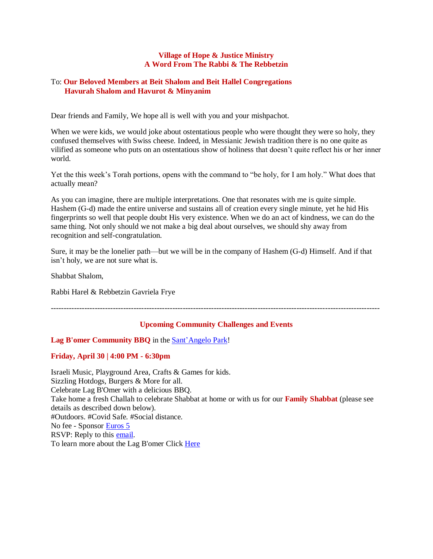## **Village of Hope & Justice Ministry A Word From The Rabbi & The Rebbetzin**

## To: **Our Beloved Members at Beit Shalom and Beit Hallel Congregations Havurah Shalom and Havurot & Minyanim**

Dear friends and Family, We hope all is well with you and your mishpachot.

When we were kids, we would joke about ostentatious people who were thought they were so holy, they confused themselves with Swiss cheese. Indeed, in Messianic Jewish tradition there is no one quite as vilified as someone who puts on an ostentatious show of holiness that doesn't quite reflect his or her inner world.

Yet the this week's Torah portions, opens with the command to "be holy, for I am holy." What does that actually mean?

As you can imagine, there are multiple interpretations. One that resonates with me is quite simple. Hashem (G‑d) made the entire universe and sustains all of creation every single minute, yet he hid His fingerprints so well that people doubt His very existence. When we do an act of kindness, we can do the same thing. Not only should we not make a big deal about ourselves, we should shy away from recognition and self-congratulation.

Sure, it may be the lonelier path—but we will be in the company of Hashem (G‑d) Himself. And if that isn't holy, we are not sure what is.

Shabbat Shalom,

Rabbi Harel & Rebbetzin Gavriela Frye

-------------------------------------------------------------------------------------------------------------------------------

### **Upcoming Community Challenges and Events**

### **Lag B'omer Community BBQ** in the [Sant'Angelo Park!](http://turismo.comune.perugia.it/poip/santangelo-park)

### **Friday, April 30 | 4:00 PM - 6:30pm**

Israeli Music, Playground Area, Crafts & Games for kids. Sizzling Hotdogs, Burgers & More for all. Celebrate Lag B'Omer with a delicious BBQ. Take home a fresh Challah to celebrate Shabbat at home or with us for our **Family Shabbat** (please see details as described down below). #Outdoors. #Covid Safe. #Social distance. No fee - Sponsor [Euros 5](https://villageofhopejusticeministry.org/donation-donazione/) RSVP: Reply to this **email.** To learn more about the Lag B'omer Click [Here](https://en.wikipedia.org/wiki/Lag_BaOmer)